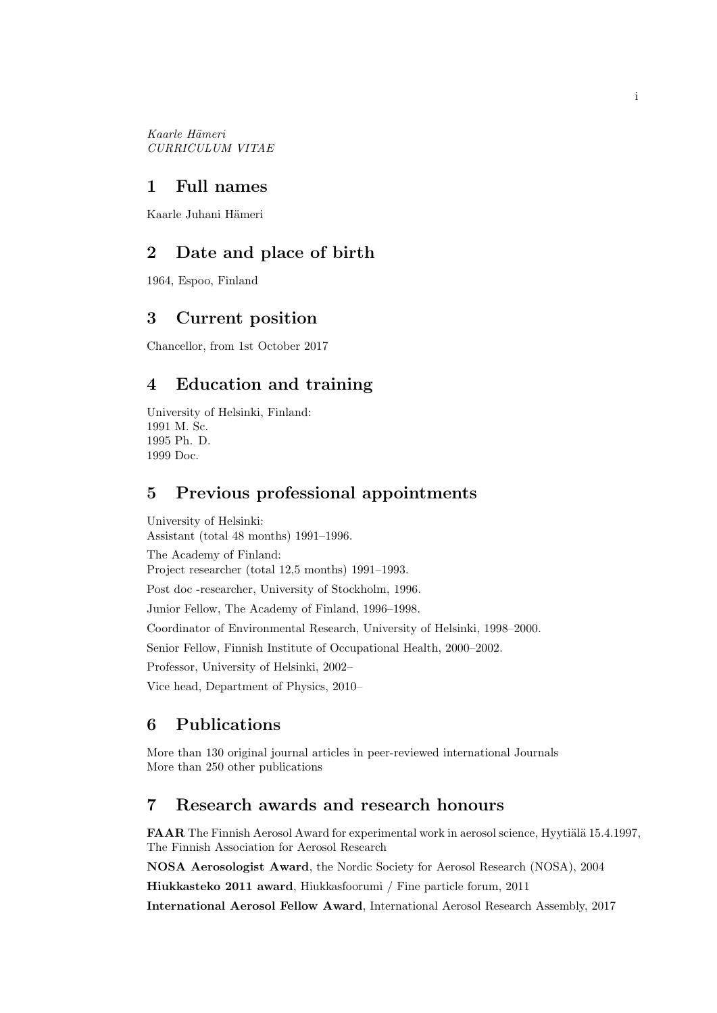Kaarle Hämeri CURRICULUM VITAE

### 1 Full names

Kaarle Juhani Hämeri

## 2 Date and place of birth

1964, Espoo, Finland

## 3 Current position

Chancellor, from 1st October 2017

## 4 Education and training

University of Helsinki, Finland: 1991 M. Sc. 1995 Ph. D. 1999 Doc.

## 5 Previous professional appointments

University of Helsinki: Assistant (total 48 months) 1991–1996. The Academy of Finland: Project researcher (total 12,5 months) 1991–1993. Post doc -researcher, University of Stockholm, 1996. Junior Fellow, The Academy of Finland, 1996–1998. Coordinator of Environmental Research, University of Helsinki, 1998–2000. Senior Fellow, Finnish Institute of Occupational Health, 2000–2002. Professor, University of Helsinki, 2002– Vice head, Department of Physics, 2010–

# 6 Publications

More than 130 original journal articles in peer-reviewed international Journals More than 250 other publications

## 7 Research awards and research honours

FAAR The Finnish Aerosol Award for experimental work in aerosol science, Hyytiälä 15.4.1997, The Finnish Association for Aerosol Research

NOSA Aerosologist Award, the Nordic Society for Aerosol Research (NOSA), 2004

Hiukkasteko 2011 award, Hiukkasfoorumi / Fine particle forum, 2011

International Aerosol Fellow Award, International Aerosol Research Assembly, 2017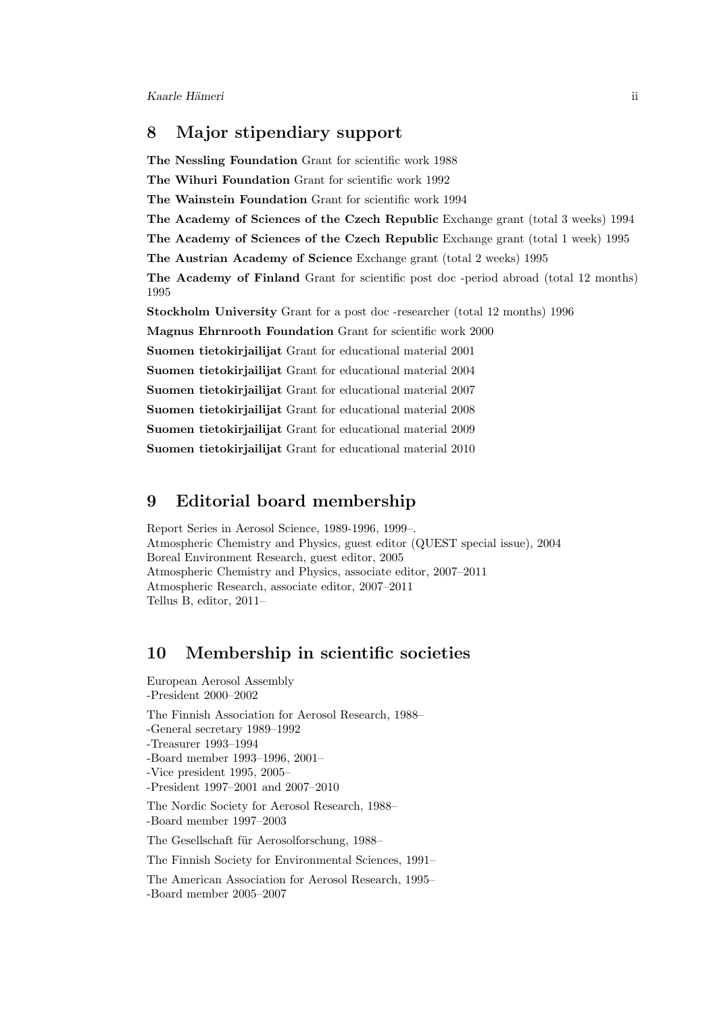## 8 Major stipendiary support

The Nessling Foundation Grant for scientific work 1988 The Wihuri Foundation Grant for scientific work 1992 The Wainstein Foundation Grant for scientific work 1994 The Academy of Sciences of the Czech Republic Exchange grant (total 3 weeks) 1994 The Academy of Sciences of the Czech Republic Exchange grant (total 1 week) 1995 The Austrian Academy of Science Exchange grant (total 2 weeks) 1995 The Academy of Finland Grant for scientific post doc -period abroad (total 12 months) 1995 Stockholm University Grant for a post doc -researcher (total 12 months) 1996 Magnus Ehrnrooth Foundation Grant for scientific work 2000 Suomen tietokirjailijat Grant for educational material 2001 Suomen tietokirjailijat Grant for educational material 2004 Suomen tietokirjailijat Grant for educational material 2007 Suomen tietokirjailijat Grant for educational material 2008 Suomen tietokirjailijat Grant for educational material 2009 Suomen tietokirjailijat Grant for educational material 2010

## 9 Editorial board membership

Report Series in Aerosol Science, 1989-1996, 1999–. Atmospheric Chemistry and Physics, guest editor (QUEST special issue), 2004 Boreal Environment Research, guest editor, 2005 Atmospheric Chemistry and Physics, associate editor, 2007–2011 Atmospheric Research, associate editor, 2007–2011 Tellus B, editor, 2011–

## 10 Membership in scientific societies

European Aerosol Assembly -President 2000–2002 The Finnish Association for Aerosol Research, 1988–

-General secretary 1989–1992

-Treasurer 1993–1994

-Board member 1993–1996, 2001–

-Vice president 1995, 2005–

-President 1997–2001 and 2007–2010

The Nordic Society for Aerosol Research, 1988– -Board member 1997–2003

The Gesellschaft für Aerosolforschung, 1988–

The Finnish Society for Environmental Sciences, 1991–

The American Association for Aerosol Research, 1995– -Board member 2005–2007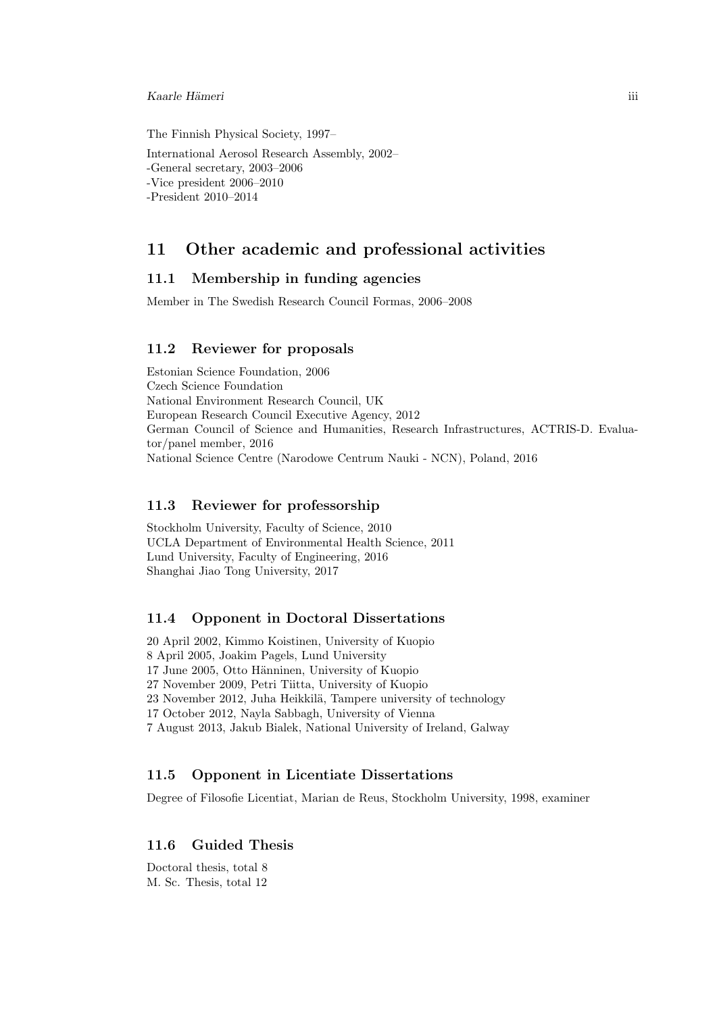#### Kaarle H¨ameri iii

The Finnish Physical Society, 1997–

International Aerosol Research Assembly, 2002– -General secretary, 2003–2006 -Vice president 2006–2010 -President 2010–2014

### 11 Other academic and professional activities

### 11.1 Membership in funding agencies

Member in The Swedish Research Council Formas, 2006–2008

### 11.2 Reviewer for proposals

Estonian Science Foundation, 2006 Czech Science Foundation National Environment Research Council, UK European Research Council Executive Agency, 2012 German Council of Science and Humanities, Research Infrastructures, ACTRIS-D. Evaluator/panel member, 2016 National Science Centre (Narodowe Centrum Nauki - NCN), Poland, 2016

### 11.3 Reviewer for professorship

Stockholm University, Faculty of Science, 2010 UCLA Department of Environmental Health Science, 2011 Lund University, Faculty of Engineering, 2016 Shanghai Jiao Tong University, 2017

### 11.4 Opponent in Doctoral Dissertations

20 April 2002, Kimmo Koistinen, University of Kuopio 8 April 2005, Joakim Pagels, Lund University 17 June 2005, Otto Hänninen, University of Kuopio 27 November 2009, Petri Tiitta, University of Kuopio 23 November 2012, Juha Heikkilä, Tampere university of technology 17 October 2012, Nayla Sabbagh, University of Vienna 7 August 2013, Jakub Bialek, National University of Ireland, Galway

### 11.5 Opponent in Licentiate Dissertations

Degree of Filosofie Licentiat, Marian de Reus, Stockholm University, 1998, examiner

### 11.6 Guided Thesis

Doctoral thesis, total 8 M. Sc. Thesis, total 12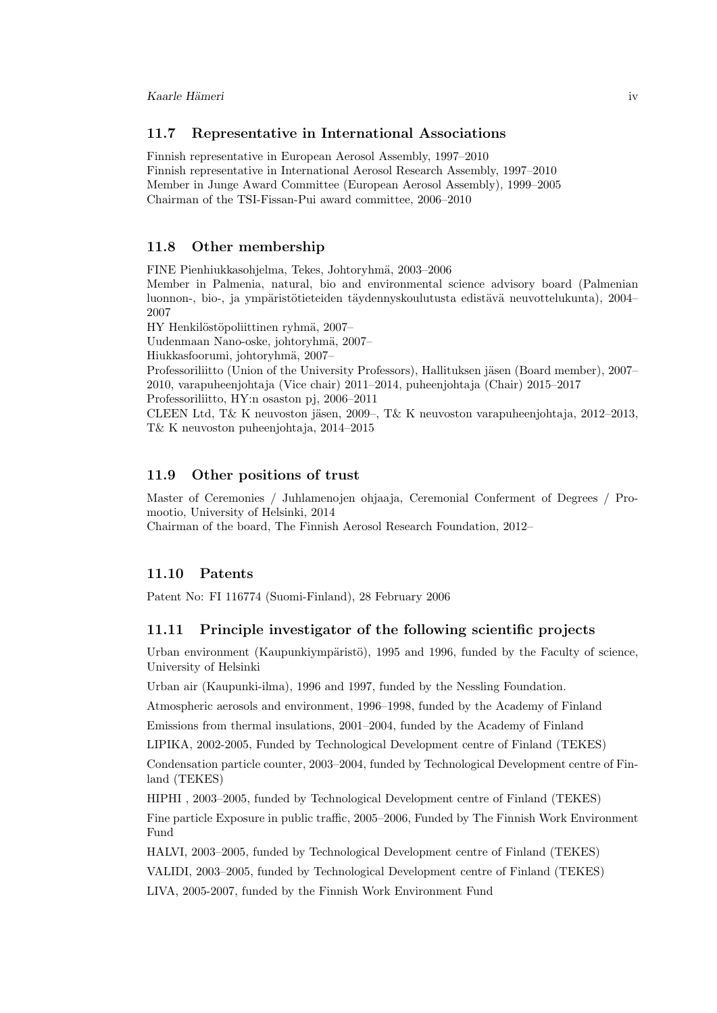### 11.7 Representative in International Associations

Finnish representative in European Aerosol Assembly, 1997–2010 Finnish representative in International Aerosol Research Assembly, 1997–2010 Member in Junge Award Committee (European Aerosol Assembly), 1999–2005 Chairman of the TSI-Fissan-Pui award committee, 2006–2010

### 11.8 Other membership

FINE Pienhiukkasohjelma, Tekes, Johtoryhmä, 2003–2006

Member in Palmenia, natural, bio and environmental science advisory board (Palmenian luonnon-, bio-, ja ympäristötieteiden täydennyskoulutusta edistävä neuvottelukunta), 2004– 2007

HY Henkilöstöpoliittinen ryhmä, 2007–

Uudenmaan Nano-oske, johtoryhmä, 2007–

Hiukkasfoorumi, johtoryhmä, 2007–

Professoriliitto (Union of the University Professors), Hallituksen jäsen (Board member), 2007– 2010, varapuheenjohtaja (Vice chair) 2011–2014, puheenjohtaja (Chair) 2015–2017 Professoriliitto, HY:n osaston pj, 2006–2011

CLEEN Ltd, T& K neuvoston jäsen, 2009–, T& K neuvoston varapuheenjohtaja, 2012–2013, T& K neuvoston puheenjohtaja, 2014–2015

### 11.9 Other positions of trust

Master of Ceremonies / Juhlamenojen ohjaaja, Ceremonial Conferment of Degrees / Promootio, University of Helsinki, 2014

Chairman of the board, The Finnish Aerosol Research Foundation, 2012–

#### 11.10 Patents

Patent No: FI 116774 (Suomi-Finland), 28 February 2006

### 11.11 Principle investigator of the following scientific projects

Urban environment (Kaupunkiympäristö), 1995 and 1996, funded by the Faculty of science, University of Helsinki

Urban air (Kaupunki-ilma), 1996 and 1997, funded by the Nessling Foundation.

Atmospheric aerosols and environment, 1996–1998, funded by the Academy of Finland

Emissions from thermal insulations, 2001–2004, funded by the Academy of Finland

LIPIKA, 2002-2005, Funded by Technological Development centre of Finland (TEKES)

Condensation particle counter, 2003–2004, funded by Technological Development centre of Finland (TEKES)

HIPHI , 2003–2005, funded by Technological Development centre of Finland (TEKES) Fine particle Exposure in public traffic, 2005–2006, Funded by The Finnish Work Environment Fund

HALVI, 2003–2005, funded by Technological Development centre of Finland (TEKES) VALIDI, 2003–2005, funded by Technological Development centre of Finland (TEKES) LIVA, 2005-2007, funded by the Finnish Work Environment Fund